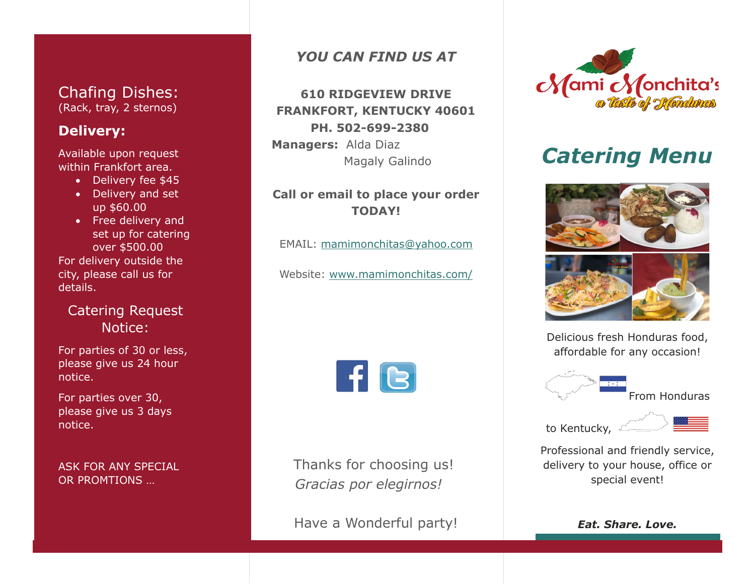## Chafing Dishes: (Rack, tray, 2 sternos)

## **Delivery:**

Available upon request within Frankfort area.

- Delivery fee \$45
- Delivery and set up \$60.00
- Free delivery and set up for catering over \$500.00 For delivery outside the city, please call us for details.

# Catering Request Notice:

For parties of 30 or less, please give us 24 hour notice.

For parties over 30, please give us 3 days notice.

ASK FOR ANY SPECIAL OR PROMTIONS …

## *YOU CAN FIND US AT*

# **610 RIDGEVIEW DRIVE FRANKFORT, KENTUCKY 40601 PH. 502-699-2380**

**Managers:** Alda Diaz Magaly Galindo

## **Call or email to place your order TODAY!**

EMAIL: [mamimonchitas@yahoo.com](mailto:mamimonchitas@yahoo.com)

Website: [www.mamimonchitas.com/](http://www.mamimonchitas.com/)



 Thanks for choosing us!  *Gracias por elegirnos!*

Have a Wonderful party!



# *Catering Menu*





Delicious fresh Honduras food, affordable for any occasion!



From Honduras

to Kentucky,



Professional and friendly service, delivery to your house, office or special event!

*Eat. Share. Love.*